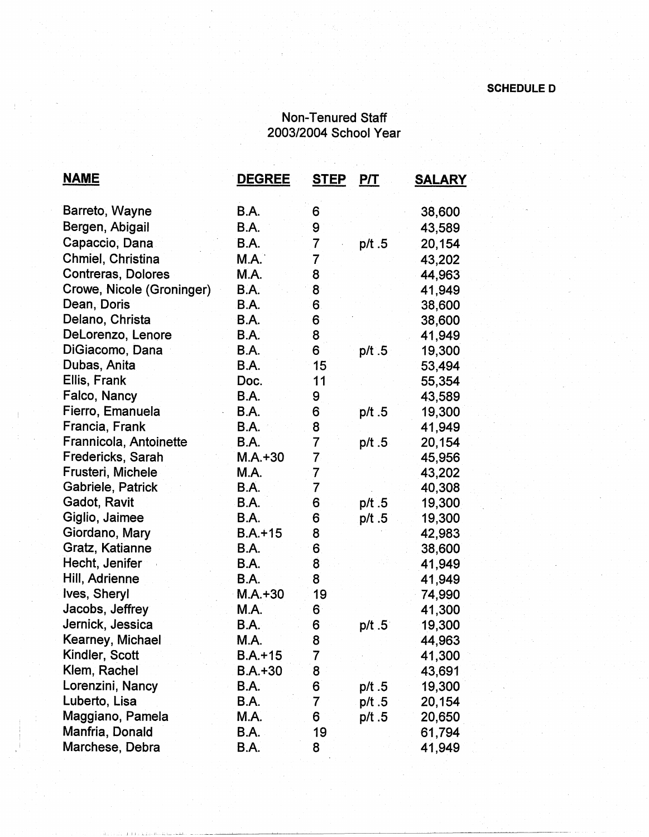## **SCHEDULE D**

## Non-Tenured Staff 200312004 School Year

 $\mathcal{L}^{\text{c}}(\mathcal{L}^{\text{c}}(\mathcal{L}))$ 

| <u>NAME</u>               | <b>DEGREE</b> | <b>STEP</b>             | <b>P/T</b> | <b>SALARY</b> |
|---------------------------|---------------|-------------------------|------------|---------------|
| Barreto, Wayne            | <b>B.A.</b>   | 6                       |            | 38,600        |
| Bergen, Abigail           | B.A.          | 9                       |            | 43,589        |
| Capaccio, Dana            | B.A.          | 7                       | p/t.5      | 20,154        |
| Chmiel, Christina         | M.A.          | 7                       |            | 43,202        |
| <b>Contreras, Dolores</b> | M.A.          | 8                       |            | 44,963        |
| Crowe, Nicole (Groninger) | B.A.          | 8                       |            | 41,949        |
| Dean, Doris               | B.A.          | 6                       |            | 38,600        |
| Delano, Christa           | B.A.          | 6                       |            | 38,600        |
| DeLorenzo, Lenore         | B.A.          | 8                       |            | 41,949        |
| DiGiacomo, Dana           | B.A.          | 6                       | $p/t$ 5    | 19,300        |
| Dubas, Anita              | B.A.          | 15                      |            | 53,494        |
| Ellis, Frank              | Doc.          | 11                      |            | 55,354        |
| Falco, Nancy              | <b>B.A.</b>   | 9                       |            | 43,589        |
| Fierro, Emanuela          | B.A.          | 6                       | p/t.5      | 19,300        |
| Francia, Frank            | B.A.          | 8                       |            | 41,949        |
| Frannicola, Antoinette    | B.A.          | $\overline{7}$          | p/t .5     | 20,154        |
| Fredericks, Sarah         | $M.A.+30$     | $\overline{7}$          |            | 45,956        |
| Frusteri, Michele         | M.A.          | 7                       |            | 43,202        |
| Gabriele, Patrick         | B.A.          | $\overline{7}$          |            | 40,308        |
| Gadot, Ravit              | B.A.          | 6                       | p/t.5      | 19,300        |
| Giglio, Jaimee            | B.A.          | 6                       | p/t .5     | 19,300        |
| Giordano, Mary            | $B.A. + 15$   | 8                       |            | 42,983        |
| Gratz, Katianne           | <b>B.A.</b>   | 6                       |            | 38,600        |
| Hecht, Jenifer            | B.A.          | $\overline{\mathbf{8}}$ |            | 41,949        |
| Hill, Adrienne            | <b>B.A.</b>   | 8                       |            | 41,949        |
| Ives, Sheryl              | $M.A. + 30$   | 19                      |            | 74,990        |
| Jacobs, Jeffrey           | M.A.          | 6                       |            | 41,300        |
| Jernick, Jessica          | B.A.          | 6                       | $p/t$ .5   | 19,300        |
| Kearney, Michael          | M.A.          | 8                       |            | 44,963        |
| Kindler, Scott            | $B.A.+15$     | 7                       |            | 41,300        |
| Klem, Rachel              | B.A.+30       | 8                       |            | 43,691        |
| Lorenzini, Nancy          | B.A.          | 6                       | p/t .5     | 19,300        |
| Luberto, Lisa             | <b>B.A.</b>   | $\overline{\mathbf{7}}$ | p/t .5     | 20,154        |
| Maggiano, Pamela          | M.A.          | 6                       | p/t.5      | 20,650        |
| Manfria, Donald           | B.A.          | 19                      |            | 61,794        |
| Marchese, Debra           | <b>B.A.</b>   | 8                       |            | 41,949        |